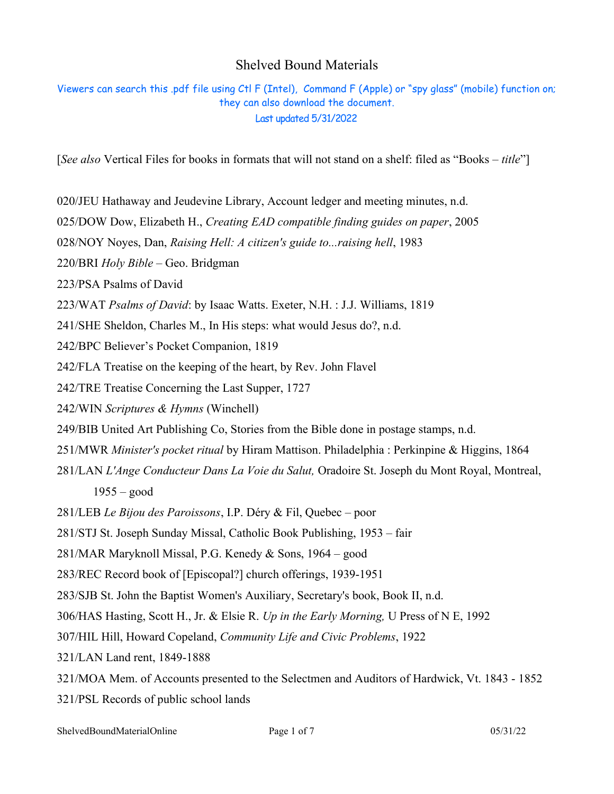## Shelved Bound Materials

Viewers can search this .pdf file using Ctl F (Intel), Command F (Apple) or "spy glass" (mobile) function on; they can also download the document. Last updated 5/31/2022

[*See also* Vertical Files for books in formats that will not stand on a shelf: filed as "Books – *title*"]

020/JEU Hathaway and Jeudevine Library, Account ledger and meeting minutes, n.d.

025/DOW Dow, Elizabeth H., *Creating EAD compatible finding guides on paper*, 2005

028/NOY Noyes, Dan, *Raising Hell: A citizen's guide to...raising hell*, 1983

220/BRI *Holy Bible* – Geo. Bridgman

223/PSA Psalms of David

223/WAT *Psalms of David*: by Isaac Watts. Exeter, N.H. : J.J. Williams, 1819

241/SHE Sheldon, Charles M., In His steps: what would Jesus do?, n.d.

242/BPC Believer's Pocket Companion, 1819

242/FLA Treatise on the keeping of the heart, by Rev. John Flavel

242/TRE Treatise Concerning the Last Supper, 1727

242/WIN *Scriptures & Hymns* (Winchell)

249/BIB United Art Publishing Co, Stories from the Bible done in postage stamps, n.d.

251/MWR *Minister's pocket ritual* by Hiram Mattison. Philadelphia : Perkinpine & Higgins, 1864

281/LAN *L'Ange Conducteur Dans La Voie du Salut,* Oradoire St. Joseph du Mont Royal, Montreal, 1955 – good

281/LEB *Le Bijou des Paroissons*, I.P. Déry & Fil, Quebec – poor

281/STJ St. Joseph Sunday Missal, Catholic Book Publishing, 1953 – fair

281/MAR Maryknoll Missal, P.G. Kenedy & Sons, 1964 – good

283/REC Record book of [Episcopal?] church offerings, 1939-1951

283/SJB St. John the Baptist Women's Auxiliary, Secretary's book, Book II, n.d.

306/HAS Hasting, Scott H., Jr. & Elsie R. *Up in the Early Morning,* U Press of N E, 1992

307/HIL Hill, Howard Copeland, *Community Life and Civic Problems*, 1922

321/LAN Land rent, 1849-1888

321/MOA Mem. of Accounts presented to the Selectmen and Auditors of Hardwick, Vt. 1843 - 1852 321/PSL Records of public school lands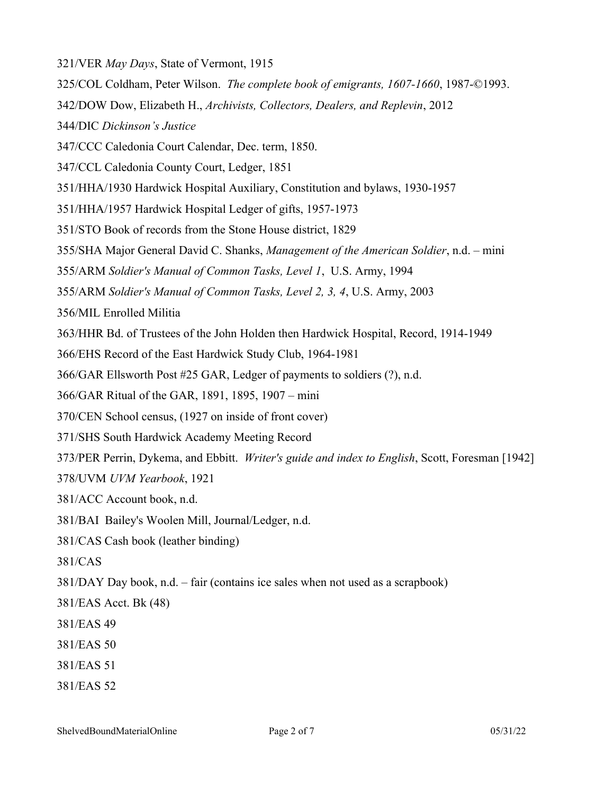321/VER *May Days*, State of Vermont, 1915 325/COL Coldham, Peter Wilson. *The complete book of emigrants, 1607-1660*, 1987-©1993. 342/DOW Dow, Elizabeth H., *Archivists, Collectors, Dealers, and Replevin*, 2012 344/DIC *Dickinson's Justice* 347/CCC Caledonia Court Calendar, Dec. term, 1850. 347/CCL Caledonia County Court, Ledger, 1851 351/HHA/1930 Hardwick Hospital Auxiliary, Constitution and bylaws, 1930-1957 351/HHA/1957 Hardwick Hospital Ledger of gifts, 1957-1973 351/STO Book of records from the Stone House district, 1829 355/SHA Major General David C. Shanks, *Management of the American Soldier*, n.d. – mini 355/ARM *Soldier's Manual of Common Tasks, Level 1*, U.S. Army, 1994 355/ARM *Soldier's Manual of Common Tasks, Level 2, 3, 4*, U.S. Army, 2003 356/MIL Enrolled Militia 363/HHR Bd. of Trustees of the John Holden then Hardwick Hospital, Record, 1914-1949 366/EHS Record of the East Hardwick Study Club, 1964-1981 366/GAR Ellsworth Post #25 GAR, Ledger of payments to soldiers (?), n.d. 366/GAR Ritual of the GAR, 1891, 1895, 1907 – mini 370/CEN School census, (1927 on inside of front cover) 371/SHS South Hardwick Academy Meeting Record 373/PER Perrin, Dykema, and Ebbitt. *Writer's guide and index to English*, Scott, Foresman [1942] 378/UVM *UVM Yearbook*, 1921 381/ACC Account book, n.d. 381/BAI Bailey's Woolen Mill, Journal/Ledger, n.d. 381/CAS Cash book (leather binding) 381/CAS 381/DAY Day book, n.d. – fair (contains ice sales when not used as a scrapbook) 381/EAS Acct. Bk (48) 381/EAS 49 381/EAS 50 381/EAS 51 381/EAS 52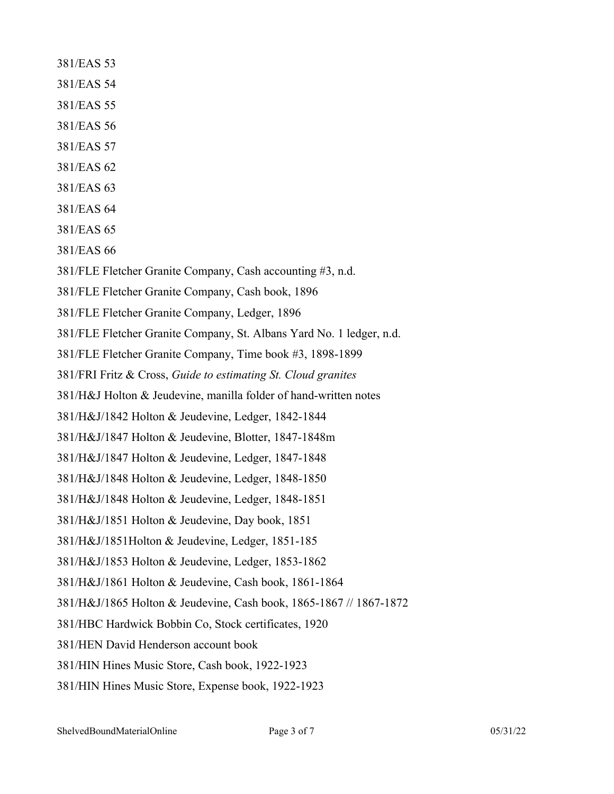- 381/EAS 53
- 381/EAS 54
- 381/EAS 55
- 381/EAS 56
- 381/EAS 57
- 381/EAS 62
- 381/EAS 63
- 381/EAS 64
- 381/EAS 65
- 381/EAS 66
- 381/FLE Fletcher Granite Company, Cash accounting #3, n.d.
- 381/FLE Fletcher Granite Company, Cash book, 1896
- 381/FLE Fletcher Granite Company, Ledger, 1896
- 381/FLE Fletcher Granite Company, St. Albans Yard No. 1 ledger, n.d.
- 381/FLE Fletcher Granite Company, Time book #3, 1898-1899
- 381/FRI Fritz & Cross, *Guide to estimating St. Cloud granites*
- 381/H&J Holton & Jeudevine, manilla folder of hand-written notes
- 381/H&J/1842 Holton & Jeudevine, Ledger, 1842-1844
- 381/H&J/1847 Holton & Jeudevine, Blotter, 1847-1848m
- 381/H&J/1847 Holton & Jeudevine, Ledger, 1847-1848
- 381/H&J/1848 Holton & Jeudevine, Ledger, 1848-1850
- 381/H&J/1848 Holton & Jeudevine, Ledger, 1848-1851
- 381/H&J/1851 Holton & Jeudevine, Day book, 1851
- 381/H&J/1851Holton & Jeudevine, Ledger, 1851-185
- 381/H&J/1853 Holton & Jeudevine, Ledger, 1853-1862
- 381/H&J/1861 Holton & Jeudevine, Cash book, 1861-1864
- 381/H&J/1865 Holton & Jeudevine, Cash book, 1865-1867 // 1867-1872
- 381/HBC Hardwick Bobbin Co, Stock certificates, 1920
- 381/HEN David Henderson account book
- 381/HIN Hines Music Store, Cash book, 1922-1923
- 381/HIN Hines Music Store, Expense book, 1922-1923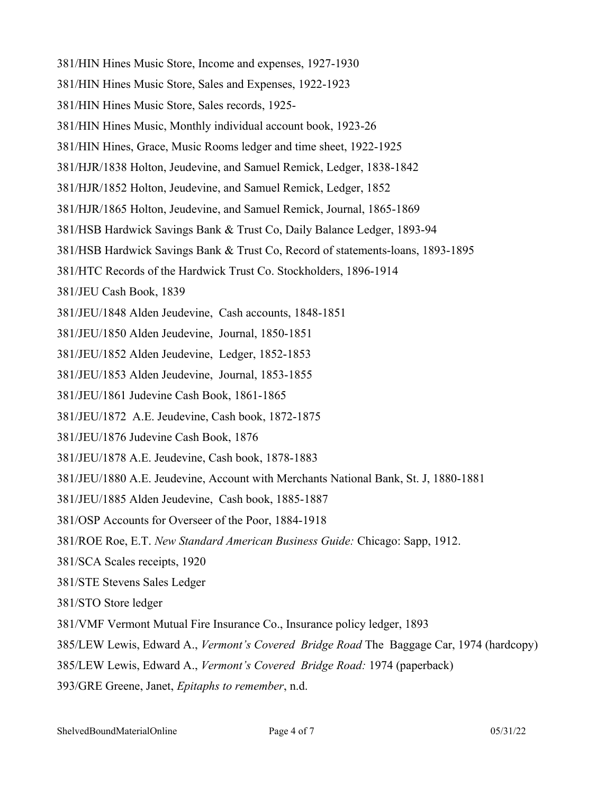- 381/HIN Hines Music Store, Income and expenses, 1927-1930
- 381/HIN Hines Music Store, Sales and Expenses, 1922-1923
- 381/HIN Hines Music Store, Sales records, 1925-
- 381/HIN Hines Music, Monthly individual account book, 1923-26
- 381/HIN Hines, Grace, Music Rooms ledger and time sheet, 1922-1925
- 381/HJR/1838 Holton, Jeudevine, and Samuel Remick, Ledger, 1838-1842
- 381/HJR/1852 Holton, Jeudevine, and Samuel Remick, Ledger, 1852
- 381/HJR/1865 Holton, Jeudevine, and Samuel Remick, Journal, 1865-1869
- 381/HSB Hardwick Savings Bank & Trust Co, Daily Balance Ledger, 1893-94
- 381/HSB Hardwick Savings Bank & Trust Co, Record of statements-loans, 1893-1895
- 381/HTC Records of the Hardwick Trust Co. Stockholders, 1896-1914
- 381/JEU Cash Book, 1839
- 381/JEU/1848 Alden Jeudevine, Cash accounts, 1848-1851
- 381/JEU/1850 Alden Jeudevine, Journal, 1850-1851
- 381/JEU/1852 Alden Jeudevine, Ledger, 1852-1853
- 381/JEU/1853 Alden Jeudevine, Journal, 1853-1855
- 381/JEU/1861 Judevine Cash Book, 1861-1865
- 381/JEU/1872 A.E. Jeudevine, Cash book, 1872-1875
- 381/JEU/1876 Judevine Cash Book, 1876
- 381/JEU/1878 A.E. Jeudevine, Cash book, 1878-1883
- 381/JEU/1880 A.E. Jeudevine, Account with Merchants National Bank, St. J, 1880-1881
- 381/JEU/1885 Alden Jeudevine, Cash book, 1885-1887
- 381/OSP Accounts for Overseer of the Poor, 1884-1918
- 381/ROE Roe, E.T. *New Standard American Business Guide:* Chicago: Sapp, 1912.
- 381/SCA Scales receipts, 1920
- 381/STE Stevens Sales Ledger
- 381/STO Store ledger
- 381/VMF Vermont Mutual Fire Insurance Co., Insurance policy ledger, 1893
- 385/LEW Lewis, Edward A., *Vermont's Covered Bridge Road* The Baggage Car, 1974 (hardcopy)
- 385/LEW Lewis, Edward A., *Vermont's Covered Bridge Road:* 1974 (paperback)
- 393/GRE Greene, Janet, *Epitaphs to remember*, n.d.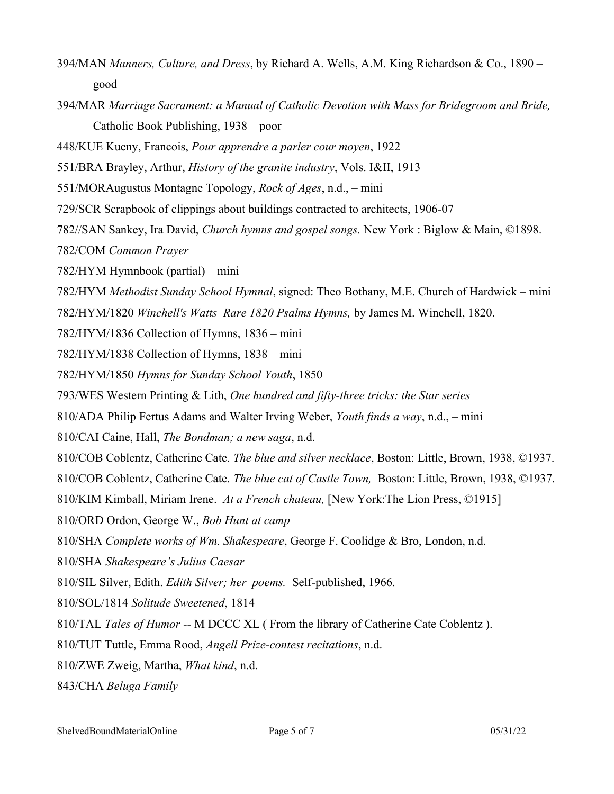- 394/MAN *Manners, Culture, and Dress*, by Richard A. Wells, A.M. King Richardson & Co., 1890 good
- 394/MAR *Marriage Sacrament: a Manual of Catholic Devotion with Mass for Bridegroom and Bride,* Catholic Book Publishing, 1938 – poor
- 448/KUE Kueny, Francois, *Pour apprendre a parler cour moyen*, 1922
- 551/BRA Brayley, Arthur, *History of the granite industry*, Vols. I&II, 1913
- 551/MORAugustus Montagne Topology, *Rock of Ages*, n.d., mini
- 729/SCR Scrapbook of clippings about buildings contracted to architects, 1906-07
- 782//SAN Sankey, Ira David, *Church hymns and gospel songs.* New York : Biglow & Main, ©1898.
- 782/COM *Common Prayer*
- 782/HYM Hymnbook (partial) mini
- 782/HYM *Methodist Sunday School Hymnal*, signed: Theo Bothany, M.E. Church of Hardwick mini
- 782/HYM/1820 *Winchell's Watts Rare 1820 Psalms Hymns,* by James M. Winchell, 1820.
- 782/HYM/1836 Collection of Hymns, 1836 mini
- 782/HYM/1838 Collection of Hymns, 1838 mini
- 782/HYM/1850 *Hymns for Sunday School Youth*, 1850
- 793/WES Western Printing & Lith, *One hundred and fifty-three tricks: the Star series*
- 810/ADA Philip Fertus Adams and Walter Irving Weber, *Youth finds a way*, n.d., mini
- 810/CAI Caine, Hall, *The Bondman; a new saga*, n.d.
- 810/COB Coblentz, Catherine Cate. *The blue and silver necklace*, Boston: Little, Brown, 1938, ©1937.
- 810/COB Coblentz, Catherine Cate. *The blue cat of Castle Town,* Boston: Little, Brown, 1938, ©1937.
- 810/KIM Kimball, Miriam Irene. *At a French chateau,* [New York:The Lion Press, ©1915]
- 810/ORD Ordon, George W., *Bob Hunt at camp*
- 810/SHA *Complete works of Wm. Shakespeare*, George F. Coolidge & Bro, London, n.d.
- 810/SHA *Shakespeare's Julius Caesar*
- 810/SIL Silver, Edith. *Edith Silver; her poems.* Self-published, 1966.
- 810/SOL/1814 *Solitude Sweetened*, 1814
- 810/TAL *Tales of Humor* -- M DCCC XL ( From the library of Catherine Cate Coblentz ).
- 810/TUT Tuttle, Emma Rood, *Angell Prize-contest recitations*, n.d.
- 810/ZWE Zweig, Martha, *What kind*, n.d.
- 843/CHA *Beluga Family*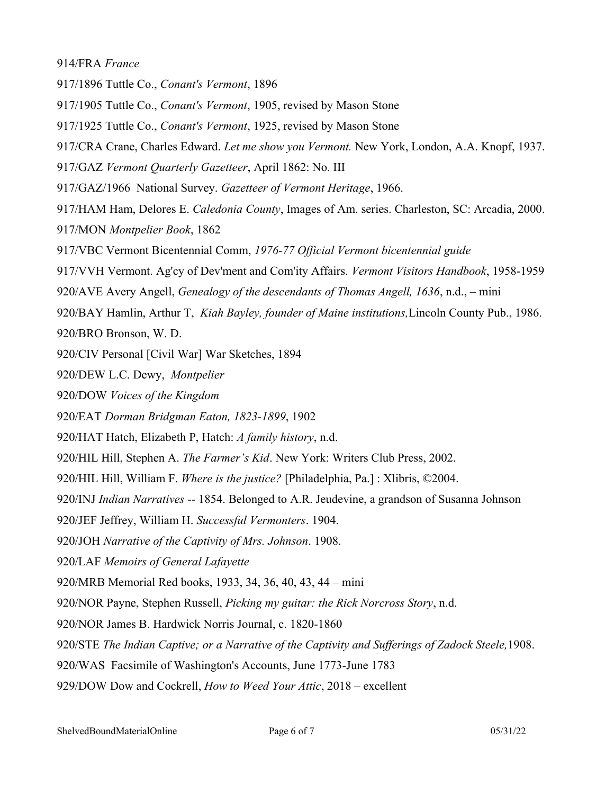914/FRA *France*

- 917/1896 Tuttle Co., *Conant's Vermont*, 1896
- 917/1905 Tuttle Co., *Conant's Vermont*, 1905, revised by Mason Stone
- 917/1925 Tuttle Co., *Conant's Vermont*, 1925, revised by Mason Stone
- 917/CRA Crane, Charles Edward. *Let me show you Vermont.* New York, London, A.A. Knopf, 1937.
- 917/GAZ *Vermont Quarterly Gazetteer*, April 1862: No. III
- 917/GAZ/1966 National Survey. *Gazetteer of Vermont Heritage*, 1966.
- 917/HAM Ham, Delores E. *Caledonia County*, Images of Am. series. Charleston, SC: Arcadia, 2000. 917/MON *Montpelier Book*, 1862
- 917/VBC Vermont Bicentennial Comm, *1976-77 Official Vermont bicentennial guide*
- 917/VVH Vermont. Ag'cy of Dev'ment and Com'ity Affairs. *Vermont Visitors Handbook*, 1958-1959
- 920/AVE Avery Angell, *Genealogy of the descendants of Thomas Angell, 1636*, n.d., mini
- 920/BAY Hamlin, Arthur T, *Kiah Bayley, founder of Maine institutions,*Lincoln County Pub., 1986. 920/BRO Bronson, W. D.
- 920/CIV Personal [Civil War] War Sketches, 1894
- 920/DEW L.C. Dewy, *Montpelier*
- 920/DOW *Voices of the Kingdom*
- 920/EAT *Dorman Bridgman Eaton, 1823-1899*, 1902
- 920/HAT Hatch, Elizabeth P, Hatch: *A family history*, n.d.
- 920/HIL Hill, Stephen A. *The Farmer's Kid*. New York: Writers Club Press, 2002.
- 920/HIL Hill, William F. *Where is the justice?* [Philadelphia, Pa.] : Xlibris, ©2004.
- 920/INJ *Indian Narratives* -- 1854. Belonged to A.R. Jeudevine, a grandson of Susanna Johnson
- 920/JEF Jeffrey, William H. *Successful Vermonters*. 1904.
- 920/JOH *Narrative of the Captivity of Mrs. Johnson*. 1908.
- 920/LAF *Memoirs of General Lafayette*
- 920/MRB Memorial Red books, 1933, 34, 36, 40, 43, 44 mini
- 920/NOR Payne, Stephen Russell, *Picking my guitar: the Rick Norcross Story*, n.d.
- 920/NOR James B. Hardwick Norris Journal, c. 1820-1860
- 920/STE *The Indian Captive; or a Narrative of the Captivity and Sufferings of Zadock Steele,*1908.
- 920/WAS Facsimile of Washington's Accounts, June 1773-June 1783
- 929/DOW Dow and Cockrell, *How to Weed Your Attic*, 2018 excellent